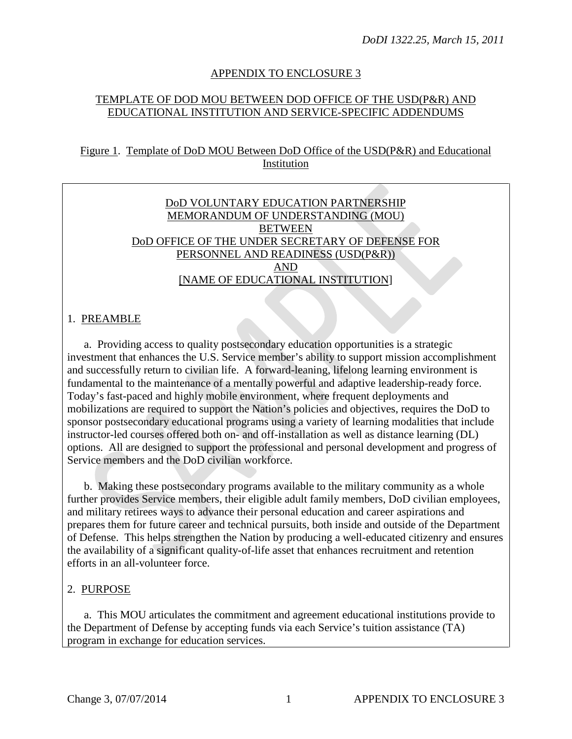### APPENDIX TO ENCLOSURE 3

### TEMPLATE OF DOD MOU BETWEEN DOD OFFICE OF THE USD(P&R) AND EDUCATIONAL INSTITUTION AND SERVICE-SPECIFIC ADDENDUMS

#### Figure 1. Template of DoD MOU Between DoD Office of the USD(P&R) and Educational Institution

#### DoD VOLUNTARY EDUCATION PARTNERSHIP MEMORANDUM OF UNDERSTANDING (MOU) **BETWEEN** DoD OFFICE OF THE UNDER SECRETARY OF DEFENSE FOR PERSONNEL AND READINESS (USD(P&R)) AND [NAME OF EDUCATIONAL INSTITUTION]

### 1. PREAMBLE

a.Providing access to quality postsecondary education opportunities is a strategic investment that enhances the U.S. Service member's ability to support mission accomplishment and successfully return to civilian life. A forward-leaning, lifelong learning environment is fundamental to the maintenance of a mentally powerful and adaptive leadership-ready force. Today's fast-paced and highly mobile environment, where frequent deployments and mobilizations are required to support the Nation's policies and objectives, requires the DoD to sponsor postsecondary educational programs using a variety of learning modalities that include instructor-led courses offered both on- and off-installation as well as distance learning (DL) options. All are designed to support the professional and personal development and progress of Service members and the DoD civilian workforce.

b. Making these postsecondary programs available to the military community as a whole further provides Service members, their eligible adult family members, DoD civilian employees, and military retirees ways to advance their personal education and career aspirations and prepares them for future career and technical pursuits, both inside and outside of the Department of Defense. This helps strengthen the Nation by producing a well-educated citizenry and ensures the availability of a significant quality-of-life asset that enhances recruitment and retention efforts in an all-volunteer force.

#### 2. PURPOSE

a. This MOU articulates the commitment and agreement educational institutions provide to the Department of Defense by accepting funds via each Service's tuition assistance (TA) program in exchange for education services.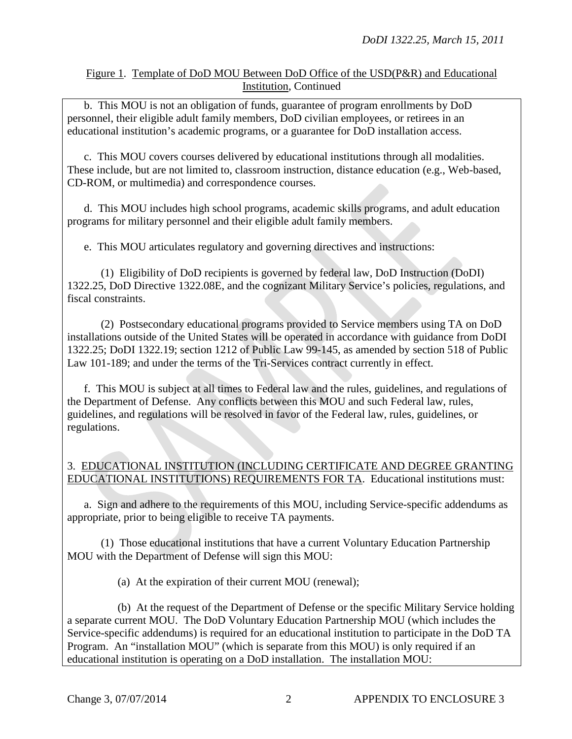b. This MOU is not an obligation of funds, guarantee of program enrollments by DoD personnel, their eligible adult family members, DoD civilian employees, or retirees in an educational institution's academic programs, or a guarantee for DoD installation access.

c. This MOU covers courses delivered by educational institutions through all modalities. These include, but are not limited to, classroom instruction, distance education (e.g., Web-based, CD-ROM, or multimedia) and correspondence courses.

d. This MOU includes high school programs, academic skills programs, and adult education programs for military personnel and their eligible adult family members.

e. This MOU articulates regulatory and governing directives and instructions:

(1) Eligibility of DoD recipients is governed by federal law, DoD Instruction (DoDI) 1322.25, DoD Directive 1322.08E, and the cognizant Military Service's policies, regulations, and fiscal constraints.

(2) Postsecondary educational programs provided to Service members using TA on DoD installations outside of the United States will be operated in accordance with guidance from DoDI 1322.25; DoDI 1322.19; section 1212 of Public Law 99-145, as amended by section 518 of Public Law 101-189; and under the terms of the Tri-Services contract currently in effect.

f. This MOU is subject at all times to Federal law and the rules, guidelines, and regulations of the Department of Defense. Any conflicts between this MOU and such Federal law, rules, guidelines, and regulations will be resolved in favor of the Federal law, rules, guidelines, or regulations.

## 3. EDUCATIONAL INSTITUTION (INCLUDING CERTIFICATE AND DEGREE GRANTING EDUCATIONAL INSTITUTIONS) REQUIREMENTS FOR TA. Educational institutions must:

a. Sign and adhere to the requirements of this MOU, including Service-specific addendums as appropriate, prior to being eligible to receive TA payments.

(1) Those educational institutions that have a current Voluntary Education Partnership MOU with the Department of Defense will sign this MOU:

(a) At the expiration of their current MOU (renewal);

(b) At the request of the Department of Defense or the specific Military Service holding a separate current MOU. The DoD Voluntary Education Partnership MOU (which includes the Service-specific addendums) is required for an educational institution to participate in the DoD TA Program. An "installation MOU" (which is separate from this MOU) is only required if an educational institution is operating on a DoD installation. The installation MOU: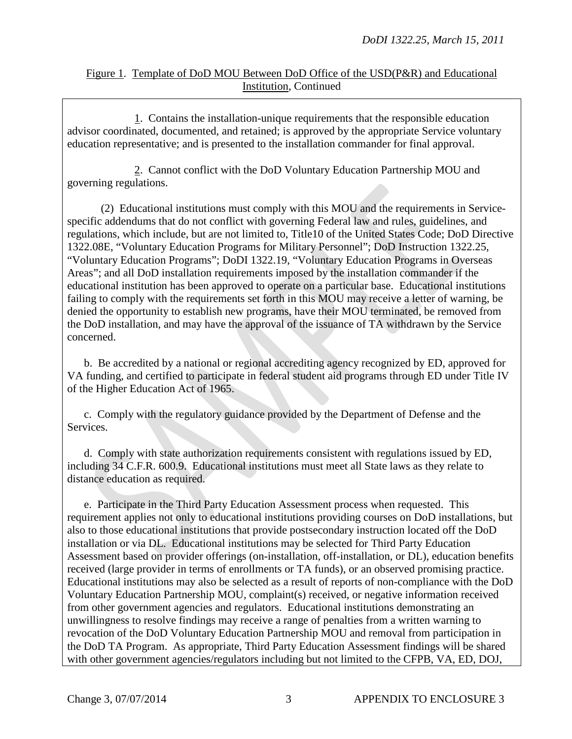1. Contains the installation-unique requirements that the responsible education advisor coordinated, documented, and retained; is approved by the appropriate Service voluntary education representative; and is presented to the installation commander for final approval.

2. Cannot conflict with the DoD Voluntary Education Partnership MOU and governing regulations.

(2) Educational institutions must comply with this MOU and the requirements in Servicespecific addendums that do not conflict with governing Federal law and rules, guidelines, and regulations, which include, but are not limited to, Title10 of the United States Code; DoD Directive 1322.08E, "Voluntary Education Programs for Military Personnel"; DoD Instruction 1322.25, "Voluntary Education Programs"; DoDI 1322.19, "Voluntary Education Programs in Overseas Areas"; and all DoD installation requirements imposed by the installation commander if the educational institution has been approved to operate on a particular base. Educational institutions failing to comply with the requirements set forth in this MOU may receive a letter of warning, be denied the opportunity to establish new programs, have their MOU terminated, be removed from the DoD installation, and may have the approval of the issuance of TA withdrawn by the Service concerned.

b. Be accredited by a national or regional accrediting agency recognized by ED, approved for VA funding, and certified to participate in federal student aid programs through ED under Title IV of the Higher Education Act of 1965.

c. Comply with the regulatory guidance provided by the Department of Defense and the Services.

d. Comply with state authorization requirements consistent with regulations issued by ED, including 34 C.F.R. 600.9. Educational institutions must meet all State laws as they relate to distance education as required.

e. Participate in the Third Party Education Assessment process when requested. This requirement applies not only to educational institutions providing courses on DoD installations, but also to those educational institutions that provide postsecondary instruction located off the DoD installation or via DL. Educational institutions may be selected for Third Party Education Assessment based on provider offerings (on-installation, off-installation, or DL), education benefits received (large provider in terms of enrollments or TA funds), or an observed promising practice. Educational institutions may also be selected as a result of reports of non-compliance with the DoD Voluntary Education Partnership MOU, complaint(s) received, or negative information received from other government agencies and regulators. Educational institutions demonstrating an unwillingness to resolve findings may receive a range of penalties from a written warning to revocation of the DoD Voluntary Education Partnership MOU and removal from participation in the DoD TA Program. As appropriate, Third Party Education Assessment findings will be shared with other government agencies/regulators including but not limited to the CFPB, VA, ED, DOJ,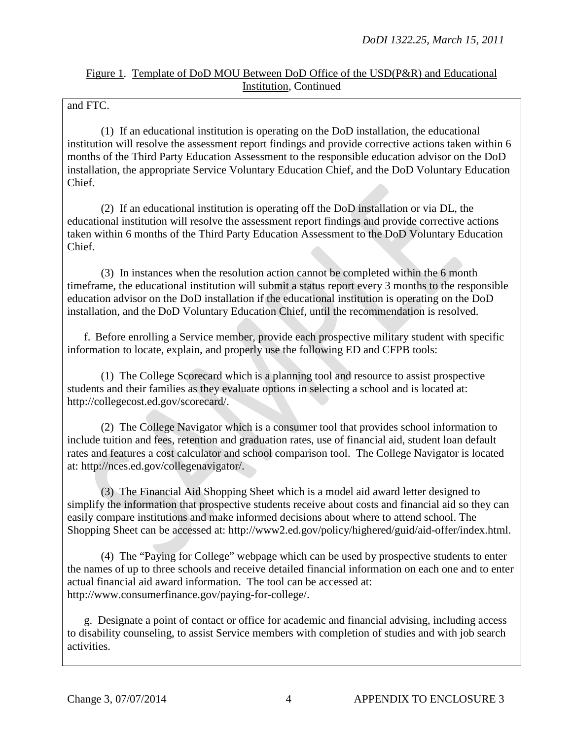and FTC.

(1) If an educational institution is operating on the DoD installation, the educational institution will resolve the assessment report findings and provide corrective actions taken within 6 months of the Third Party Education Assessment to the responsible education advisor on the DoD installation, the appropriate Service Voluntary Education Chief, and the DoD Voluntary Education Chief.

(2) If an educational institution is operating off the DoD installation or via DL, the educational institution will resolve the assessment report findings and provide corrective actions taken within 6 months of the Third Party Education Assessment to the DoD Voluntary Education Chief.

(3) In instances when the resolution action cannot be completed within the 6 month timeframe, the educational institution will submit a status report every 3 months to the responsible education advisor on the DoD installation if the educational institution is operating on the DoD installation, and the DoD Voluntary Education Chief, until the recommendation is resolved.

f. Before enrolling a Service member, provide each prospective military student with specific information to locate, explain, and properly use the following ED and CFPB tools:

(1) The College Scorecard which is a planning tool and resource to assist prospective students and their families as they evaluate options in selecting a school and is located at: http://collegecost.ed.gov/scorecard/.

(2) The College Navigator which is a consumer tool that provides school information to include tuition and fees, retention and graduation rates, use of financial aid, student loan default rates and features a cost calculator and school comparison tool. The College Navigator is located at: http://nces.ed.gov/collegenavigator/.

(3) The Financial Aid Shopping Sheet which is a model aid award letter designed to simplify the information that prospective students receive about costs and financial aid so they can easily compare institutions and make informed decisions about where to attend school. The Shopping Sheet can be accessed at: http://www2.ed.gov/policy/highered/guid/aid-offer/index.html.

(4) The "Paying for College" webpage which can be used by prospective students to enter the names of up to three schools and receive detailed financial information on each one and to enter actual financial aid award information. The tool can be accessed at: http://www.consumerfinance.gov/paying-for-college/.

g. Designate a point of contact or office for academic and financial advising, including access to disability counseling, to assist Service members with completion of studies and with job search activities.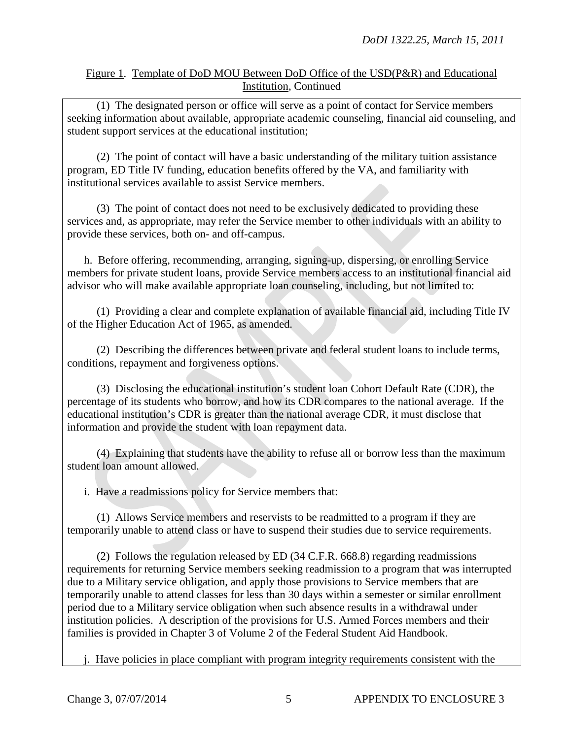(1) The designated person or office will serve as a point of contact for Service members seeking information about available, appropriate academic counseling, financial aid counseling, and student support services at the educational institution;

(2) The point of contact will have a basic understanding of the military tuition assistance program, ED Title IV funding, education benefits offered by the VA, and familiarity with institutional services available to assist Service members.

(3) The point of contact does not need to be exclusively dedicated to providing these services and, as appropriate, may refer the Service member to other individuals with an ability to provide these services, both on- and off-campus.

h. Before offering, recommending, arranging, signing-up, dispersing, or enrolling Service members for private student loans, provide Service members access to an institutional financial aid advisor who will make available appropriate loan counseling, including, but not limited to:

(1) Providing a clear and complete explanation of available financial aid, including Title IV of the Higher Education Act of 1965, as amended.

(2) Describing the differences between private and federal student loans to include terms, conditions, repayment and forgiveness options.

(3) Disclosing the educational institution's student loan Cohort Default Rate (CDR), the percentage of its students who borrow, and how its CDR compares to the national average. If the educational institution's CDR is greater than the national average CDR, it must disclose that information and provide the student with loan repayment data.

(4) Explaining that students have the ability to refuse all or borrow less than the maximum student loan amount allowed.

i. Have a readmissions policy for Service members that:

(1) Allows Service members and reservists to be readmitted to a program if they are temporarily unable to attend class or have to suspend their studies due to service requirements.

(2) Follows the regulation released by ED (34 C.F.R. 668.8) regarding readmissions requirements for returning Service members seeking readmission to a program that was interrupted due to a Military service obligation, and apply those provisions to Service members that are temporarily unable to attend classes for less than 30 days within a semester or similar enrollment period due to a Military service obligation when such absence results in a withdrawal under institution policies. A description of the provisions for U.S. Armed Forces members and their families is provided in Chapter 3 of Volume 2 of the Federal Student Aid Handbook.

j. Have policies in place compliant with program integrity requirements consistent with the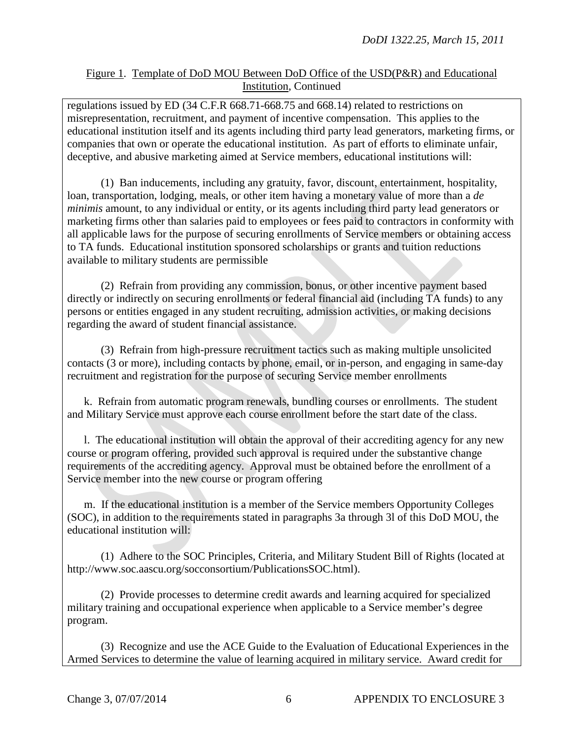regulations issued by ED (34 C.F.R 668.71-668.75 and 668.14) related to restrictions on misrepresentation, recruitment, and payment of incentive compensation. This applies to the educational institution itself and its agents including third party lead generators, marketing firms, or companies that own or operate the educational institution. As part of efforts to eliminate unfair, deceptive, and abusive marketing aimed at Service members, educational institutions will:

(1) Ban inducements, including any gratuity, favor, discount, entertainment, hospitality, loan, transportation, lodging, meals, or other item having a monetary value of more than a *de minimis* amount, to any individual or entity, or its agents including third party lead generators or marketing firms other than salaries paid to employees or fees paid to contractors in conformity with all applicable laws for the purpose of securing enrollments of Service members or obtaining access to TA funds. Educational institution sponsored scholarships or grants and tuition reductions available to military students are permissible

(2) Refrain from providing any commission, bonus, or other incentive payment based directly or indirectly on securing enrollments or federal financial aid (including TA funds) to any persons or entities engaged in any student recruiting, admission activities, or making decisions regarding the award of student financial assistance.

(3) Refrain from high-pressure recruitment tactics such as making multiple unsolicited contacts (3 or more), including contacts by phone, email, or in-person, and engaging in same-day recruitment and registration for the purpose of securing Service member enrollments

k. Refrain from automatic program renewals, bundling courses or enrollments. The student and Military Service must approve each course enrollment before the start date of the class.

l. The educational institution will obtain the approval of their accrediting agency for any new course or program offering, provided such approval is required under the substantive change requirements of the accrediting agency. Approval must be obtained before the enrollment of a Service member into the new course or program offering

m. If the educational institution is a member of the Service members Opportunity Colleges (SOC), in addition to the requirements stated in paragraphs 3a through 3l of this DoD MOU, the educational institution will:

 (1) Adhere to the SOC Principles, Criteria, and Military Student Bill of Rights (located at http://www.soc.aascu.org/socconsortium/PublicationsSOC.html).

(2) Provide processes to determine credit awards and learning acquired for specialized military training and occupational experience when applicable to a Service member's degree program.

(3) Recognize and use the ACE Guide to the Evaluation of Educational Experiences in the Armed Services to determine the value of learning acquired in military service. Award credit for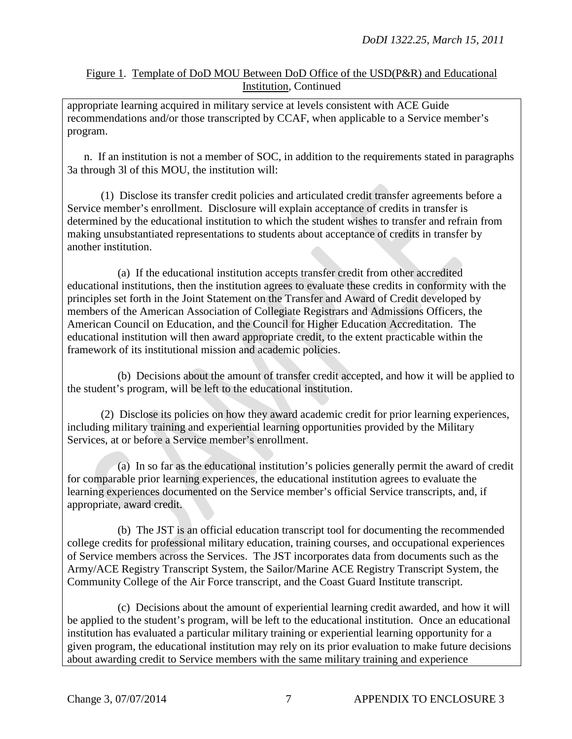appropriate learning acquired in military service at levels consistent with ACE Guide recommendations and/or those transcripted by CCAF, when applicable to a Service member's program.

n. If an institution is not a member of SOC, in addition to the requirements stated in paragraphs 3a through 3l of this MOU, the institution will:

(1) Disclose its transfer credit policies and articulated credit transfer agreements before a Service member's enrollment. Disclosure will explain acceptance of credits in transfer is determined by the educational institution to which the student wishes to transfer and refrain from making unsubstantiated representations to students about acceptance of credits in transfer by another institution.

(a) If the educational institution accepts transfer credit from other accredited educational institutions, then the institution agrees to evaluate these credits in conformity with the principles set forth in the Joint Statement on the Transfer and Award of Credit developed by members of the American Association of Collegiate Registrars and Admissions Officers, the American Council on Education, and the Council for Higher Education Accreditation. The educational institution will then award appropriate credit, to the extent practicable within the framework of its institutional mission and academic policies.

(b) Decisions about the amount of transfer credit accepted, and how it will be applied to the student's program, will be left to the educational institution.

(2) Disclose its policies on how they award academic credit for prior learning experiences, including military training and experiential learning opportunities provided by the Military Services, at or before a Service member's enrollment.

(a) In so far as the educational institution's policies generally permit the award of credit for comparable prior learning experiences, the educational institution agrees to evaluate the learning experiences documented on the Service member's official Service transcripts, and, if appropriate, award credit.

(b) The JST is an official education transcript tool for documenting the recommended college credits for professional military education, training courses, and occupational experiences of Service members across the Services. The JST incorporates data from documents such as the Army/ACE Registry Transcript System, the Sailor/Marine ACE Registry Transcript System, the Community College of the Air Force transcript, and the Coast Guard Institute transcript.

(c) Decisions about the amount of experiential learning credit awarded, and how it will be applied to the student's program, will be left to the educational institution. Once an educational institution has evaluated a particular military training or experiential learning opportunity for a given program, the educational institution may rely on its prior evaluation to make future decisions about awarding credit to Service members with the same military training and experience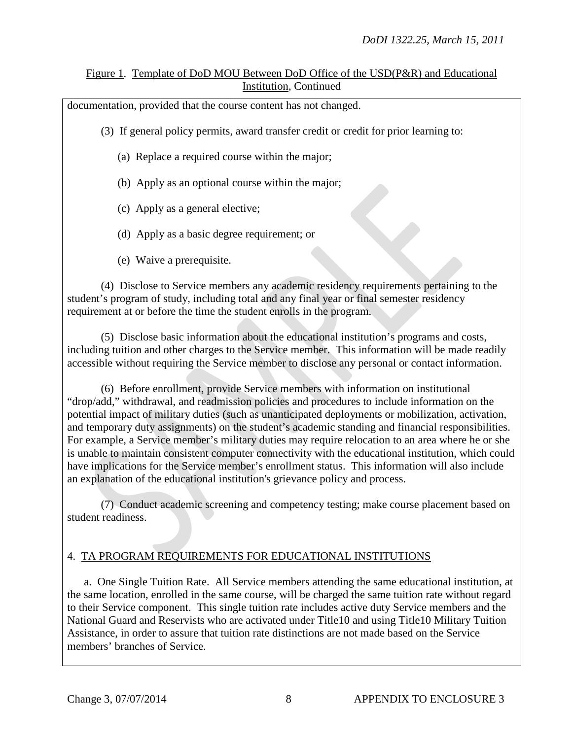documentation, provided that the course content has not changed.

(3) If general policy permits, award transfer credit or credit for prior learning to:

- (a) Replace a required course within the major;
- (b) Apply as an optional course within the major;
- (c) Apply as a general elective;
- (d) Apply as a basic degree requirement; or
- (e) Waive a prerequisite.

(4) Disclose to Service members any academic residency requirements pertaining to the student's program of study, including total and any final year or final semester residency requirement at or before the time the student enrolls in the program.

(5) Disclose basic information about the educational institution's programs and costs, including tuition and other charges to the Service member. This information will be made readily accessible without requiring the Service member to disclose any personal or contact information.

(6) Before enrollment, provide Service members with information on institutional "drop/add," withdrawal, and readmission policies and procedures to include information on the potential impact of military duties (such as unanticipated deployments or mobilization, activation, and temporary duty assignments) on the student's academic standing and financial responsibilities. For example, a Service member's military duties may require relocation to an area where he or she is unable to maintain consistent computer connectivity with the educational institution, which could have implications for the Service member's enrollment status. This information will also include an explanation of the educational institution's grievance policy and process.

(7) Conduct academic screening and competency testing; make course placement based on student readiness.

## 4. TA PROGRAM REQUIREMENTS FOR EDUCATIONAL INSTITUTIONS

a. One Single Tuition Rate. All Service members attending the same educational institution, at the same location, enrolled in the same course, will be charged the same tuition rate without regard to their Service component. This single tuition rate includes active duty Service members and the National Guard and Reservists who are activated under Title10 and using Title10 Military Tuition Assistance, in order to assure that tuition rate distinctions are not made based on the Service members' branches of Service.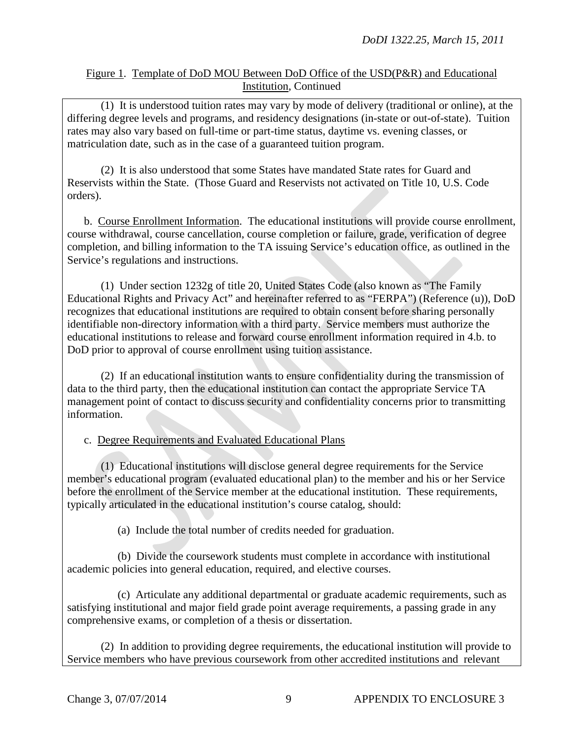(1) It is understood tuition rates may vary by mode of delivery (traditional or online), at the differing degree levels and programs, and residency designations (in-state or out-of-state). Tuition rates may also vary based on full-time or part-time status, daytime vs. evening classes, or matriculation date, such as in the case of a guaranteed tuition program.

(2) It is also understood that some States have mandated State rates for Guard and Reservists within the State. (Those Guard and Reservists not activated on Title 10, U.S. Code orders).

b. Course Enrollment Information. The educational institutions will provide course enrollment, course withdrawal, course cancellation, course completion or failure, grade, verification of degree completion, and billing information to the TA issuing Service's education office, as outlined in the Service's regulations and instructions.

(1) Under section 1232g of title 20, United States Code (also known as "The Family Educational Rights and Privacy Act" and hereinafter referred to as "FERPA") (Reference (u)), DoD recognizes that educational institutions are required to obtain consent before sharing personally identifiable non-directory information with a third party. Service members must authorize the educational institutions to release and forward course enrollment information required in 4.b. to DoD prior to approval of course enrollment using tuition assistance.

(2) If an educational institution wants to ensure confidentiality during the transmission of data to the third party, then the educational institution can contact the appropriate Service TA management point of contact to discuss security and confidentiality concerns prior to transmitting information.

#### c. Degree Requirements and Evaluated Educational Plans

(1) Educational institutions will disclose general degree requirements for the Service member's educational program (evaluated educational plan) to the member and his or her Service before the enrollment of the Service member at the educational institution. These requirements, typically articulated in the educational institution's course catalog, should:

(a) Include the total number of credits needed for graduation.

(b) Divide the coursework students must complete in accordance with institutional academic policies into general education, required, and elective courses.

(c) Articulate any additional departmental or graduate academic requirements, such as satisfying institutional and major field grade point average requirements, a passing grade in any comprehensive exams, or completion of a thesis or dissertation.

(2) In addition to providing degree requirements, the educational institution will provide to Service members who have previous coursework from other accredited institutions and relevant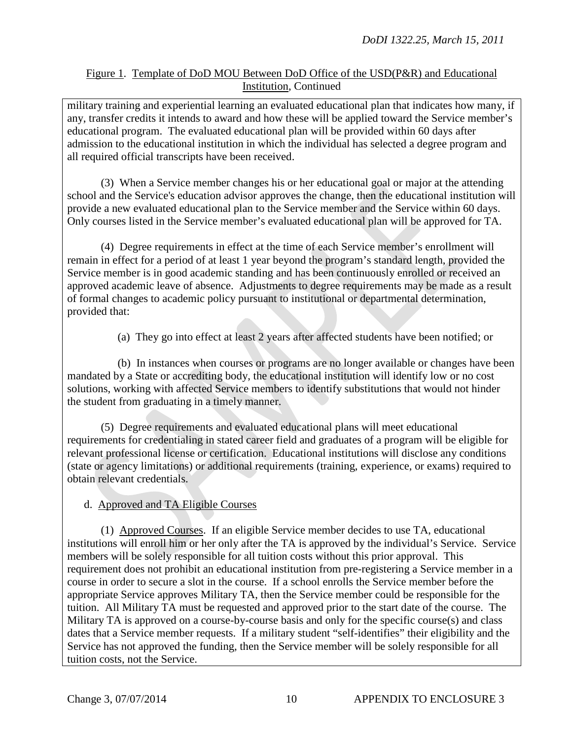military training and experiential learning an evaluated educational plan that indicates how many, if any, transfer credits it intends to award and how these will be applied toward the Service member's educational program. The evaluated educational plan will be provided within 60 days after admission to the educational institution in which the individual has selected a degree program and all required official transcripts have been received.

(3) When a Service member changes his or her educational goal or major at the attending school and the Service's education advisor approves the change, then the educational institution will provide a new evaluated educational plan to the Service member and the Service within 60 days. Only courses listed in the Service member's evaluated educational plan will be approved for TA.

(4) Degree requirements in effect at the time of each Service member's enrollment will remain in effect for a period of at least 1 year beyond the program's standard length, provided the Service member is in good academic standing and has been continuously enrolled or received an approved academic leave of absence. Adjustments to degree requirements may be made as a result of formal changes to academic policy pursuant to institutional or departmental determination, provided that:

(a) They go into effect at least 2 years after affected students have been notified; or

(b) In instances when courses or programs are no longer available or changes have been mandated by a State or accrediting body, the educational institution will identify low or no cost solutions, working with affected Service members to identify substitutions that would not hinder the student from graduating in a timely manner.

(5) Degree requirements and evaluated educational plans will meet educational requirements for credentialing in stated career field and graduates of a program will be eligible for relevant professional license or certification. Educational institutions will disclose any conditions (state or agency limitations) or additional requirements (training, experience, or exams) required to obtain relevant credentials.

# d. Approved and TA Eligible Courses

(1) Approved Courses. If an eligible Service member decides to use TA, educational institutions will enroll him or her only after the TA is approved by the individual's Service. Service members will be solely responsible for all tuition costs without this prior approval. This requirement does not prohibit an educational institution from pre-registering a Service member in a course in order to secure a slot in the course. If a school enrolls the Service member before the appropriate Service approves Military TA, then the Service member could be responsible for the tuition. All Military TA must be requested and approved prior to the start date of the course. The Military TA is approved on a course-by-course basis and only for the specific course(s) and class dates that a Service member requests. If a military student "self-identifies" their eligibility and the Service has not approved the funding, then the Service member will be solely responsible for all tuition costs, not the Service.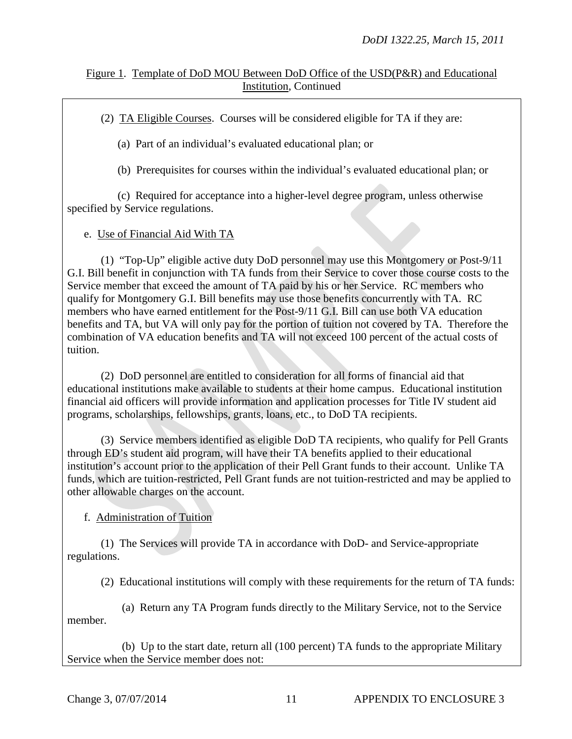(2) TA Eligible Courses. Courses will be considered eligible for TA if they are:

(a) Part of an individual's evaluated educational plan; or

(b) Prerequisites for courses within the individual's evaluated educational plan; or

(c) Required for acceptance into a higher-level degree program, unless otherwise specified by Service regulations.

e. Use of Financial Aid With TA

(1) "Top-Up" eligible active duty DoD personnel may use this Montgomery or Post-9/11 G.I. Bill benefit in conjunction with TA funds from their Service to cover those course costs to the Service member that exceed the amount of TA paid by his or her Service. RC members who qualify for Montgomery G.I. Bill benefits may use those benefits concurrently with TA. RC members who have earned entitlement for the Post-9/11 G.I. Bill can use both VA education benefits and TA, but VA will only pay for the portion of tuition not covered by TA. Therefore the combination of VA education benefits and TA will not exceed 100 percent of the actual costs of tuition.

(2) DoD personnel are entitled to consideration for all forms of financial aid that educational institutions make available to students at their home campus. Educational institution financial aid officers will provide information and application processes for Title IV student aid programs, scholarships, fellowships, grants, loans, etc., to DoD TA recipients.

(3) Service members identified as eligible DoD TA recipients, who qualify for Pell Grants through ED's student aid program, will have their TA benefits applied to their educational institution's account prior to the application of their Pell Grant funds to their account. Unlike TA funds, which are tuition-restricted, Pell Grant funds are not tuition-restricted and may be applied to other allowable charges on the account.

f. Administration of Tuition

(1) The Services will provide TA in accordance with DoD- and Service-appropriate regulations.

(2) Educational institutions will comply with these requirements for the return of TA funds:

(a) Return any TA Program funds directly to the Military Service, not to the Service member.

(b) Up to the start date, return all (100 percent) TA funds to the appropriate Military Service when the Service member does not: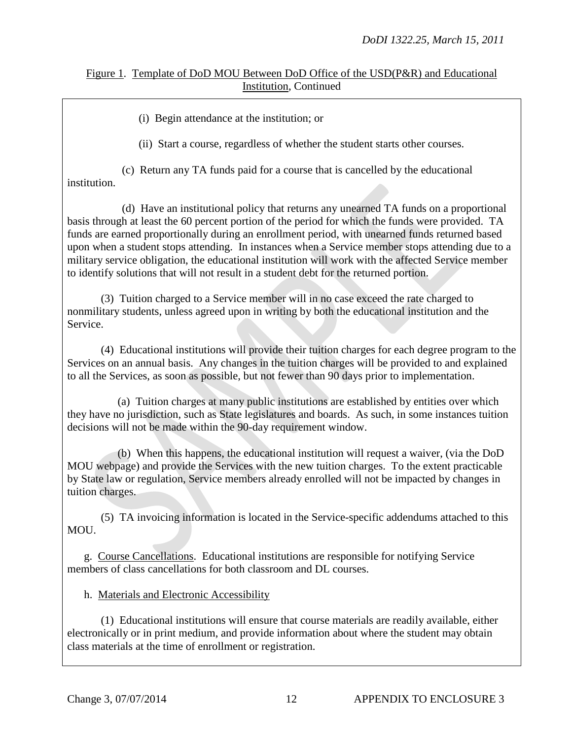(i) Begin attendance at the institution; or

(ii) Start a course, regardless of whether the student starts other courses.

(c) Return any TA funds paid for a course that is cancelled by the educational institution.

(d) Have an institutional policy that returns any unearned TA funds on a proportional basis through at least the 60 percent portion of the period for which the funds were provided. TA funds are earned proportionally during an enrollment period, with unearned funds returned based upon when a student stops attending. In instances when a Service member stops attending due to a military service obligation, the educational institution will work with the affected Service member to identify solutions that will not result in a student debt for the returned portion.

(3) Tuition charged to a Service member will in no case exceed the rate charged to nonmilitary students, unless agreed upon in writing by both the educational institution and the Service.

(4) Educational institutions will provide their tuition charges for each degree program to the Services on an annual basis. Any changes in the tuition charges will be provided to and explained to all the Services, as soon as possible, but not fewer than 90 days prior to implementation.

(a) Tuition charges at many public institutions are established by entities over which they have no jurisdiction, such as State legislatures and boards. As such, in some instances tuition decisions will not be made within the 90-day requirement window.

(b) When this happens, the educational institution will request a waiver, (via the DoD MOU webpage) and provide the Services with the new tuition charges. To the extent practicable by State law or regulation, Service members already enrolled will not be impacted by changes in tuition charges.

(5) TA invoicing information is located in the Service-specific addendums attached to this MOU.

g. Course Cancellations. Educational institutions are responsible for notifying Service members of class cancellations for both classroom and DL courses.

#### h. Materials and Electronic Accessibility

(1) Educational institutions will ensure that course materials are readily available, either electronically or in print medium, and provide information about where the student may obtain class materials at the time of enrollment or registration.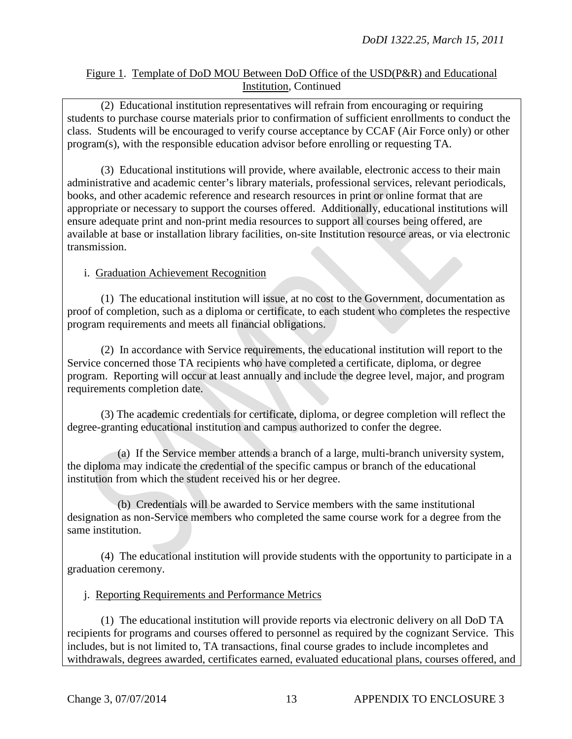(2) Educational institution representatives will refrain from encouraging or requiring students to purchase course materials prior to confirmation of sufficient enrollments to conduct the class. Students will be encouraged to verify course acceptance by CCAF (Air Force only) or other program(s), with the responsible education advisor before enrolling or requesting TA.

(3) Educational institutions will provide, where available, electronic access to their main administrative and academic center's library materials, professional services, relevant periodicals, books, and other academic reference and research resources in print or online format that are appropriate or necessary to support the courses offered. Additionally, educational institutions will ensure adequate print and non-print media resources to support all courses being offered, are available at base or installation library facilities, on-site Institution resource areas, or via electronic transmission.

## i. Graduation Achievement Recognition

(1) The educational institution will issue, at no cost to the Government, documentation as proof of completion, such as a diploma or certificate, to each student who completes the respective program requirements and meets all financial obligations.

(2) In accordance with Service requirements, the educational institution will report to the Service concerned those TA recipients who have completed a certificate, diploma, or degree program. Reporting will occur at least annually and include the degree level, major, and program requirements completion date.

(3) The academic credentials for certificate, diploma, or degree completion will reflect the degree-granting educational institution and campus authorized to confer the degree.

(a) If the Service member attends a branch of a large, multi-branch university system, the diploma may indicate the credential of the specific campus or branch of the educational institution from which the student received his or her degree.

(b) Credentials will be awarded to Service members with the same institutional designation as non-Service members who completed the same course work for a degree from the same institution.

(4) The educational institution will provide students with the opportunity to participate in a graduation ceremony.

#### j. Reporting Requirements and Performance Metrics

(1) The educational institution will provide reports via electronic delivery on all DoD TA recipients for programs and courses offered to personnel as required by the cognizant Service. This includes, but is not limited to, TA transactions, final course grades to include incompletes and withdrawals, degrees awarded, certificates earned, evaluated educational plans, courses offered, and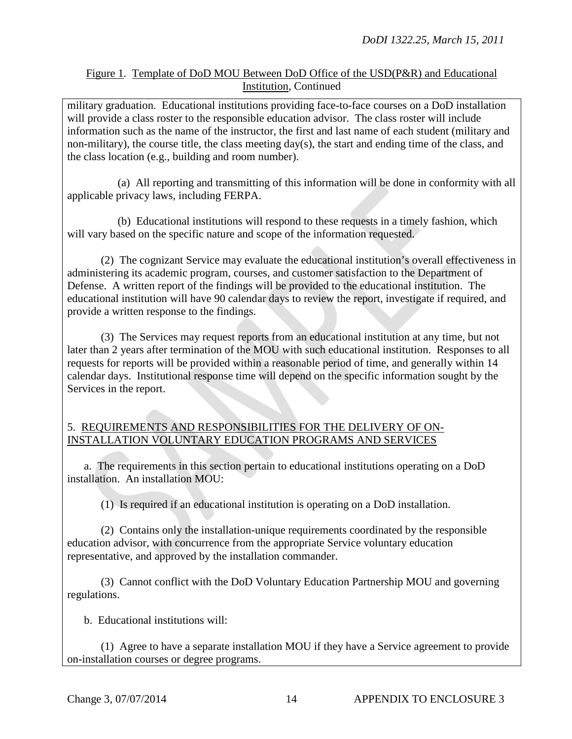military graduation. Educational institutions providing face-to-face courses on a DoD installation will provide a class roster to the responsible education advisor. The class roster will include information such as the name of the instructor, the first and last name of each student (military and non-military), the course title, the class meeting day(s), the start and ending time of the class, and the class location (e.g., building and room number).

(a) All reporting and transmitting of this information will be done in conformity with all applicable privacy laws, including FERPA.

(b) Educational institutions will respond to these requests in a timely fashion, which will vary based on the specific nature and scope of the information requested.

(2) The cognizant Service may evaluate the educational institution's overall effectiveness in administering its academic program, courses, and customer satisfaction to the Department of Defense. A written report of the findings will be provided to the educational institution. The educational institution will have 90 calendar days to review the report, investigate if required, and provide a written response to the findings.

(3) The Services may request reports from an educational institution at any time, but not later than 2 years after termination of the MOU with such educational institution. Responses to all requests for reports will be provided within a reasonable period of time, and generally within 14 calendar days. Institutional response time will depend on the specific information sought by the Services in the report.

#### 5. REQUIREMENTS AND RESPONSIBILITIES FOR THE DELIVERY OF ON-INSTALLATION VOLUNTARY EDUCATION PROGRAMS AND SERVICES

a. The requirements in this section pertain to educational institutions operating on a DoD installation.An installation MOU:

(1) Is required if an educational institution is operating on a DoD installation.

(2) Contains only the installation-unique requirements coordinated by the responsible education advisor, with concurrence from the appropriate Service voluntary education representative, and approved by the installation commander.

(3) Cannot conflict with the DoD Voluntary Education Partnership MOU and governing regulations.

b. Educational institutions will:

(1) Agree to have a separate installation MOU if they have a Service agreement to provide on-installation courses or degree programs.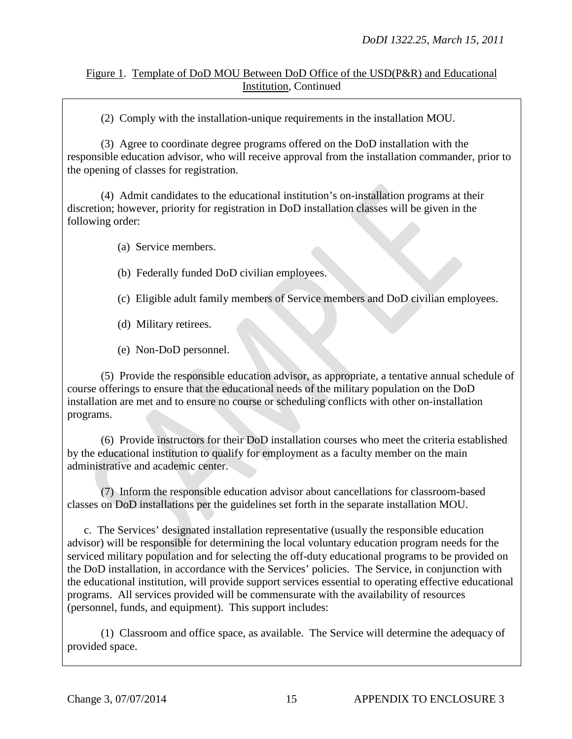(2) Comply with the installation-unique requirements in the installation MOU.

(3) Agree to coordinate degree programs offered on the DoD installation with the responsible education advisor, who will receive approval from the installation commander, prior to the opening of classes for registration.

(4) Admit candidates to the educational institution's on-installation programs at their discretion; however, priority for registration in DoD installation classes will be given in the following order:

(a) Service members.

(b) Federally funded DoD civilian employees.

(c) Eligible adult family members of Service members and DoD civilian employees.

(d) Military retirees.

(e) Non-DoD personnel.

(5) Provide the responsible education advisor, as appropriate, a tentative annual schedule of course offerings to ensure that the educational needs of the military population on the DoD installation are met and to ensure no course or scheduling conflicts with other on-installation programs.

(6) Provide instructors for their DoD installation courses who meet the criteria established by the educational institution to qualify for employment as a faculty member on the main administrative and academic center.

(7) Inform the responsible education advisor about cancellations for classroom-based classes on DoD installations per the guidelines set forth in the separate installation MOU.

c. The Services' designated installation representative (usually the responsible education advisor) will be responsible for determining the local voluntary education program needs for the serviced military population and for selecting the off-duty educational programs to be provided on the DoD installation, in accordance with the Services' policies. The Service, in conjunction with the educational institution, will provide support services essential to operating effective educational programs. All services provided will be commensurate with the availability of resources (personnel, funds, and equipment). This support includes:

(1) Classroom and office space, as available. The Service will determine the adequacy of provided space.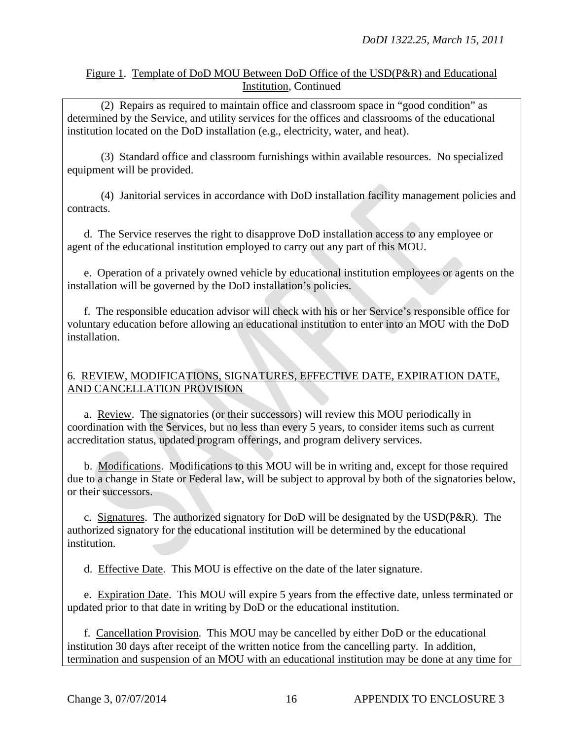(2) Repairs as required to maintain office and classroom space in "good condition" as determined by the Service, and utility services for the offices and classrooms of the educational institution located on the DoD installation (e.g., electricity, water, and heat).

(3) Standard office and classroom furnishings within available resources. No specialized equipment will be provided.

(4) Janitorial services in accordance with DoD installation facility management policies and contracts.

d. The Service reserves the right to disapprove DoD installation access to any employee or agent of the educational institution employed to carry out any part of this MOU.

e. Operation of a privately owned vehicle by educational institution employees or agents on the installation will be governed by the DoD installation's policies.

f. The responsible education advisor will check with his or her Service's responsible office for voluntary education before allowing an educational institution to enter into an MOU with the DoD installation.

## 6. REVIEW, MODIFICATIONS, SIGNATURES, EFFECTIVE DATE, EXPIRATION DATE, AND CANCELLATION PROVISION

a. Review. The signatories (or their successors) will review this MOU periodically in coordination with the Services, but no less than every 5 years, to consider items such as current accreditation status, updated program offerings, and program delivery services.

b. Modifications. Modifications to this MOU will be in writing and, except for those required due to a change in State or Federal law, will be subject to approval by both of the signatories below, or their successors.

c. Signatures. The authorized signatory for DoD will be designated by the USD(P&R). The authorized signatory for the educational institution will be determined by the educational institution.

d. Effective Date. This MOU is effective on the date of the later signature.

e. Expiration Date. This MOU will expire 5 years from the effective date, unless terminated or updated prior to that date in writing by DoD or the educational institution.

 f. Cancellation Provision. This MOU may be cancelled by either DoD or the educational institution 30 days after receipt of the written notice from the cancelling party. In addition, termination and suspension of an MOU with an educational institution may be done at any time for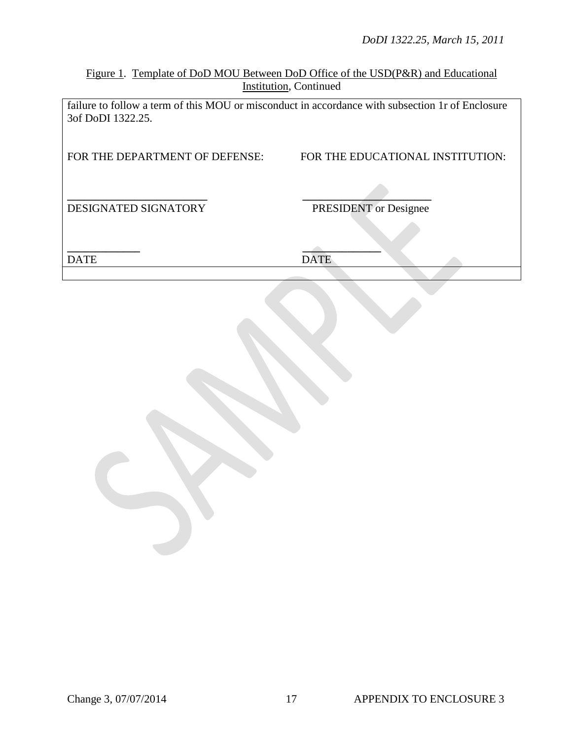*DoDI 1322.25, March 15, 2011*

Figure 1. Template of DoD MOU Between DoD Office of the USD(P&R) and Educational Institution, Continued

failure to follow a term of this MOU or misconduct in accordance with subsection 1r of Enclosure 3of DoDI 1322.25.

| FOR THE DEPARTMENT OF DEFENSE: | FOR THE EDUCATIONAL INSTITUTION: |  |  |  |  |
|--------------------------------|----------------------------------|--|--|--|--|
| DESIGNATED SIGNATORY           | <b>PRESIDENT</b> or Designee     |  |  |  |  |
|                                |                                  |  |  |  |  |
| <b>DATE</b>                    | <b>DATE</b>                      |  |  |  |  |
|                                |                                  |  |  |  |  |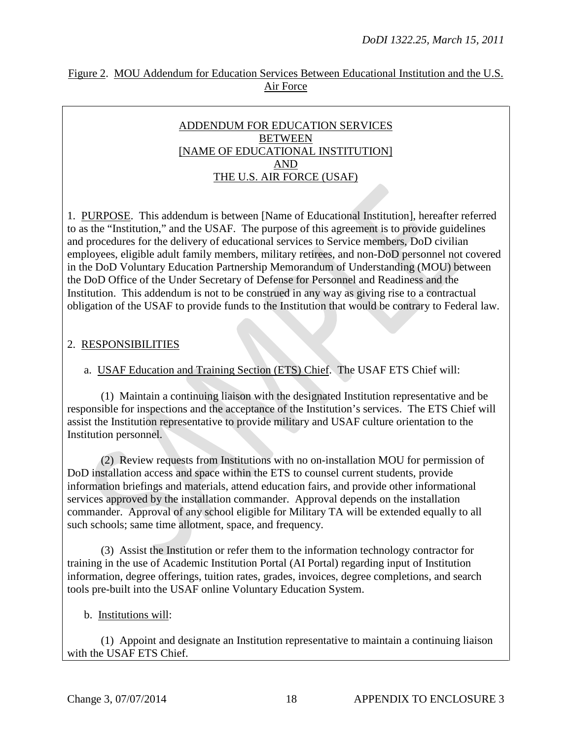## Figure 2. MOU Addendum for Education Services Between Educational Institution and the U.S. Air Force

#### ADDENDUM FOR EDUCATION SERVICES **BETWEEN** [NAME OF EDUCATIONAL INSTITUTION] AND THE U.S. AIR FORCE (USAF)

1. PURPOSE. This addendum is between [Name of Educational Institution], hereafter referred to as the "Institution," and the USAF. The purpose of this agreement is to provide guidelines and procedures for the delivery of educational services to Service members, DoD civilian employees, eligible adult family members, military retirees, and non-DoD personnel not covered in the DoD Voluntary Education Partnership Memorandum of Understanding (MOU) between the DoD Office of the Under Secretary of Defense for Personnel and Readiness and the Institution. This addendum is not to be construed in any way as giving rise to a contractual obligation of the USAF to provide funds to the Institution that would be contrary to Federal law.

## 2. RESPONSIBILITIES

## a. USAF Education and Training Section (ETS) Chief. The USAF ETS Chief will:

(1) Maintain a continuing liaison with the designated Institution representative and be responsible for inspections and the acceptance of the Institution's services. The ETS Chief will assist the Institution representative to provide military and USAF culture orientation to the Institution personnel.

(2) Review requests from Institutions with no on-installation MOU for permission of DoD installation access and space within the ETS to counsel current students, provide information briefings and materials, attend education fairs, and provide other informational services approved by the installation commander. Approval depends on the installation commander. Approval of any school eligible for Military TA will be extended equally to all such schools; same time allotment, space, and frequency.

(3) Assist the Institution or refer them to the information technology contractor for training in the use of Academic Institution Portal (AI Portal) regarding input of Institution information, degree offerings, tuition rates, grades, invoices, degree completions, and search tools pre-built into the USAF online Voluntary Education System.

#### b. Institutions will:

(1) Appoint and designate an Institution representative to maintain a continuing liaison with the USAF ETS Chief.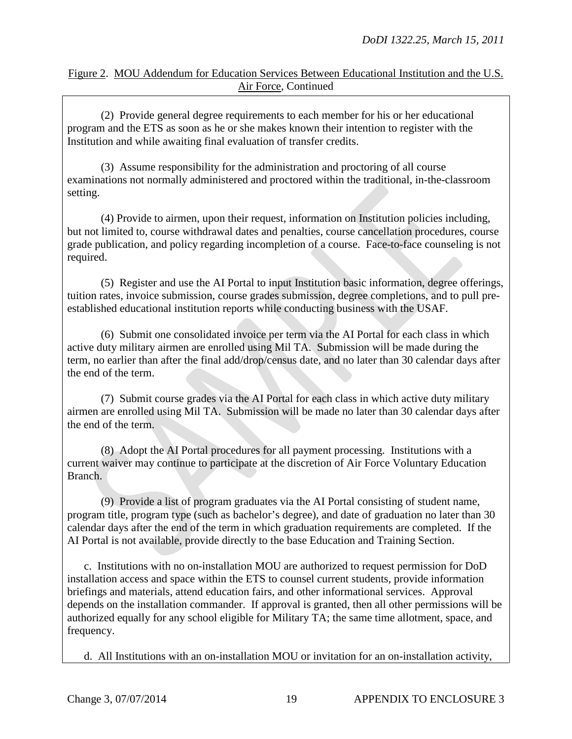## Figure 2. MOU Addendum for Education Services Between Educational Institution and the U.S. Air Force, Continued

(2) Provide general degree requirements to each member for his or her educational program and the ETS as soon as he or she makes known their intention to register with the Institution and while awaiting final evaluation of transfer credits.

(3) Assume responsibility for the administration and proctoring of all course examinations not normally administered and proctored within the traditional, in-the-classroom setting.

(4) Provide to airmen, upon their request, information on Institution policies including, but not limited to, course withdrawal dates and penalties, course cancellation procedures, course grade publication, and policy regarding incompletion of a course. Face-to-face counseling is not required.

(5) Register and use the AI Portal to input Institution basic information, degree offerings, tuition rates, invoice submission, course grades submission, degree completions, and to pull preestablished educational institution reports while conducting business with the USAF.

(6) Submit one consolidated invoice per term via the AI Portal for each class in which active duty military airmen are enrolled using Mil TA. Submission will be made during the term, no earlier than after the final add/drop/census date, and no later than 30 calendar days after the end of the term.

(7) Submit course grades via the AI Portal for each class in which active duty military airmen are enrolled using Mil TA. Submission will be made no later than 30 calendar days after the end of the term.

(8) Adopt the AI Portal procedures for all payment processing. Institutions with a current waiver may continue to participate at the discretion of Air Force Voluntary Education Branch.

(9) Provide a list of program graduates via the AI Portal consisting of student name, program title, program type (such as bachelor's degree), and date of graduation no later than 30 calendar days after the end of the term in which graduation requirements are completed. If the AI Portal is not available, provide directly to the base Education and Training Section.

c. Institutions with no on-installation MOU are authorized to request permission for DoD installation access and space within the ETS to counsel current students, provide information briefings and materials, attend education fairs, and other informational services. Approval depends on the installation commander. If approval is granted, then all other permissions will be authorized equally for any school eligible for Military TA; the same time allotment, space, and frequency.

d. All Institutions with an on-installation MOU or invitation for an on-installation activity,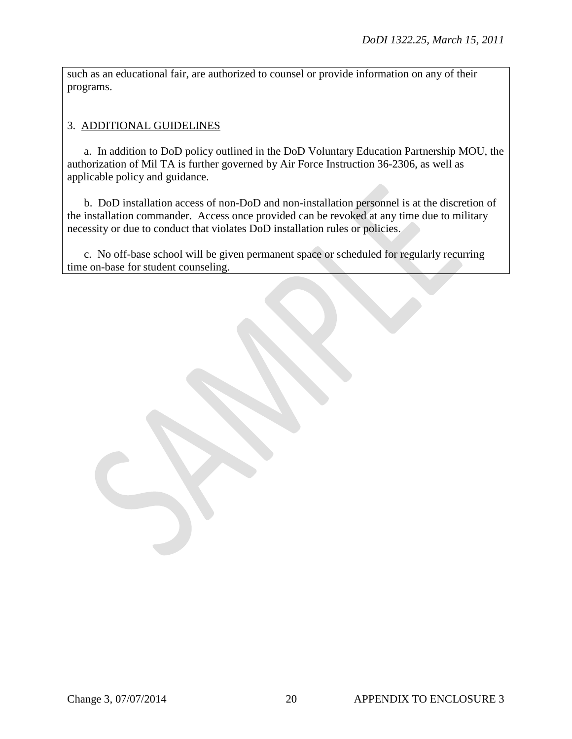such as an educational fair, are authorized to counsel or provide information on any of their programs.

## 3. ADDITIONAL GUIDELINES

a. In addition to DoD policy outlined in the DoD Voluntary Education Partnership MOU, the authorization of Mil TA is further governed by Air Force Instruction 36-2306, as well as applicable policy and guidance.

b. DoD installation access of non-DoD and non-installation personnel is at the discretion of the installation commander. Access once provided can be revoked at any time due to military necessity or due to conduct that violates DoD installation rules or policies.

 c. No off-base school will be given permanent space or scheduled for regularly recurring time on-base for student counseling.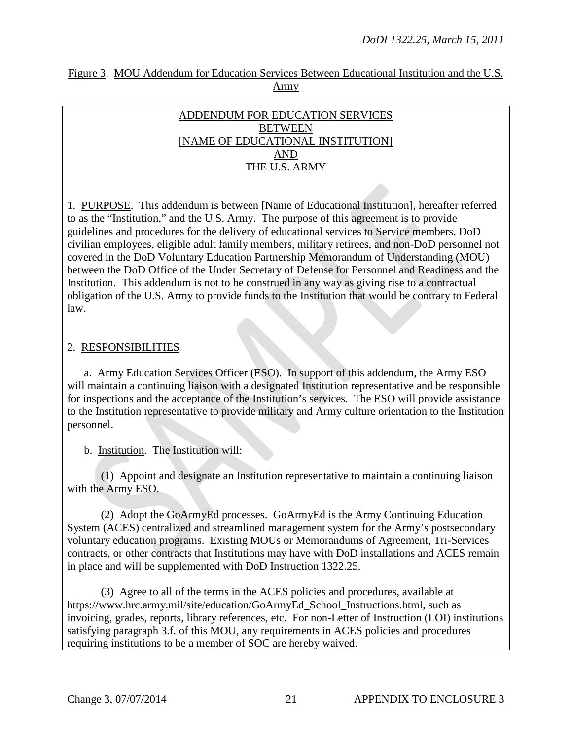|      |  |  | Figure 3. MOU Addendum for Education Services Between Educational Institution and the U.S. |  |  |  |  |  |  |
|------|--|--|--------------------------------------------------------------------------------------------|--|--|--|--|--|--|
| Army |  |  |                                                                                            |  |  |  |  |  |  |

## ADDENDUM FOR EDUCATION SERVICES **BETWEEN** [NAME OF EDUCATIONAL INSTITUTION] AND THE U.S. ARMY

1. PURPOSE. This addendum is between [Name of Educational Institution], hereafter referred to as the "Institution," and the U.S. Army. The purpose of this agreement is to provide guidelines and procedures for the delivery of educational services to Service members, DoD civilian employees, eligible adult family members, military retirees, and non-DoD personnel not covered in the DoD Voluntary Education Partnership Memorandum of Understanding (MOU) between the DoD Office of the Under Secretary of Defense for Personnel and Readiness and the Institution. This addendum is not to be construed in any way as giving rise to a contractual obligation of the U.S. Army to provide funds to the Institution that would be contrary to Federal law.

## 2. RESPONSIBILITIES

a. Army Education Services Officer (ESO). In support of this addendum, the Army ESO will maintain a continuing liaison with a designated Institution representative and be responsible for inspections and the acceptance of the Institution's services. The ESO will provide assistance to the Institution representative to provide military and Army culture orientation to the Institution personnel.

b. Institution. The Institution will:

(1) Appoint and designate an Institution representative to maintain a continuing liaison with the Army ESO.

(2) Adopt the GoArmyEd processes. GoArmyEd is the Army Continuing Education System (ACES) centralized and streamlined management system for the Army's postsecondary voluntary education programs. Existing MOUs or Memorandums of Agreement, Tri-Services contracts, or other contracts that Institutions may have with DoD installations and ACES remain in place and will be supplemented with DoD Instruction 1322.25.

(3) Agree to all of the terms in the ACES policies and procedures, available at https://www.hrc.army.mil/site/education/GoArmyEd\_School\_Instructions.html, such as invoicing, grades, reports, library references, etc. For non-Letter of Instruction (LOI) institutions satisfying paragraph 3.f. of this MOU, any requirements in ACES policies and procedures requiring institutions to be a member of SOC are hereby waived.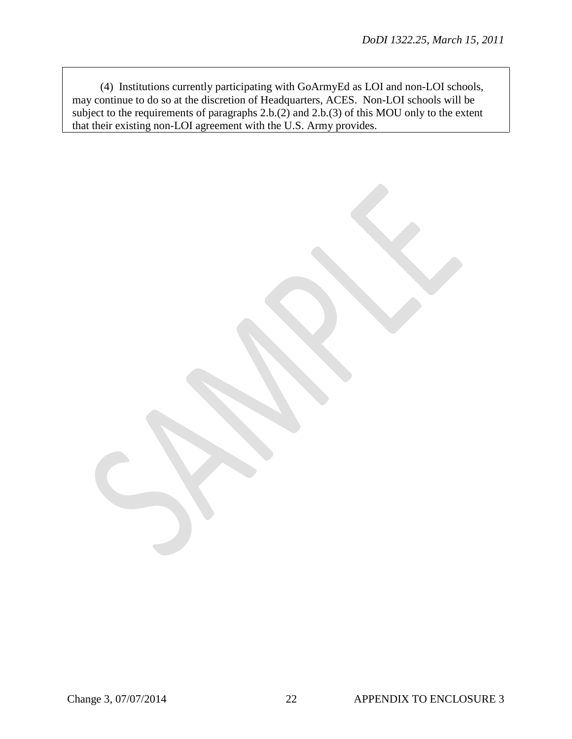(4) Institutions currently participating with GoArmyEd as LOI and non-LOI schools, may continue to do so at the discretion of Headquarters, ACES. Non-LOI schools will be subject to the requirements of paragraphs 2.b.(2) and 2.b.(3) of this MOU only to the extent that their existing non-LOI agreement with the U.S. Army provides.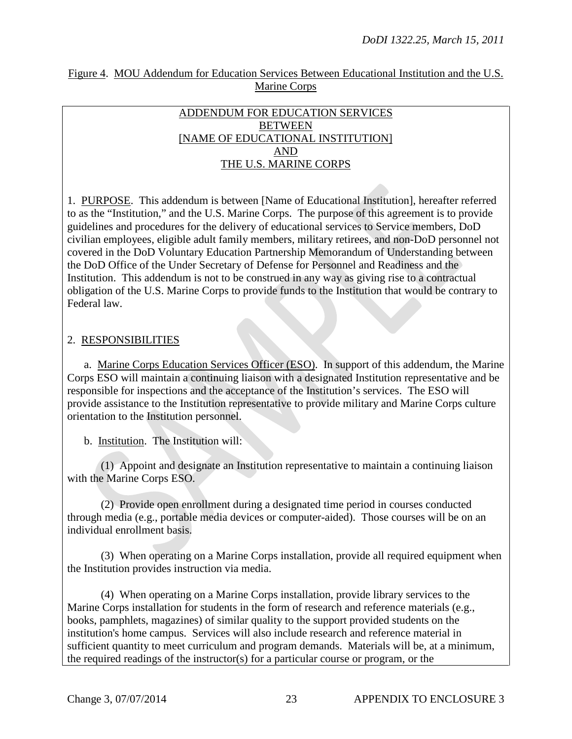#### Figure 4. MOU Addendum for Education Services Between Educational Institution and the U.S. Marine Corps

#### ADDENDUM FOR EDUCATION SERVICES BETWEEN [NAME OF EDUCATIONAL INSTITUTION] AND THE U.S. MARINE CORPS

1. PURPOSE. This addendum is between [Name of Educational Institution], hereafter referred to as the "Institution," and the U.S. Marine Corps. The purpose of this agreement is to provide guidelines and procedures for the delivery of educational services to Service members, DoD civilian employees, eligible adult family members, military retirees, and non-DoD personnel not covered in the DoD Voluntary Education Partnership Memorandum of Understanding between the DoD Office of the Under Secretary of Defense for Personnel and Readiness and the Institution. This addendum is not to be construed in any way as giving rise to a contractual obligation of the U.S. Marine Corps to provide funds to the Institution that would be contrary to Federal law.

### 2. RESPONSIBILITIES

a. Marine Corps Education Services Officer (ESO). In support of this addendum, the Marine Corps ESO will maintain a continuing liaison with a designated Institution representative and be responsible for inspections and the acceptance of the Institution's services. The ESO will provide assistance to the Institution representative to provide military and Marine Corps culture orientation to the Institution personnel.

b. Institution. The Institution will:

(1) Appoint and designate an Institution representative to maintain a continuing liaison with the Marine Corps ESO.

(2) Provide open enrollment during a designated time period in courses conducted through media (e.g., portable media devices or computer-aided). Those courses will be on an individual enrollment basis.

(3) When operating on a Marine Corps installation, provide all required equipment when the Institution provides instruction via media.

 (4) When operating on a Marine Corps installation, provide library services to the Marine Corps installation for students in the form of research and reference materials (e.g., books, pamphlets, magazines) of similar quality to the support provided students on the institution's home campus. Services will also include research and reference material in sufficient quantity to meet curriculum and program demands. Materials will be, at a minimum, the required readings of the instructor(s) for a particular course or program, or the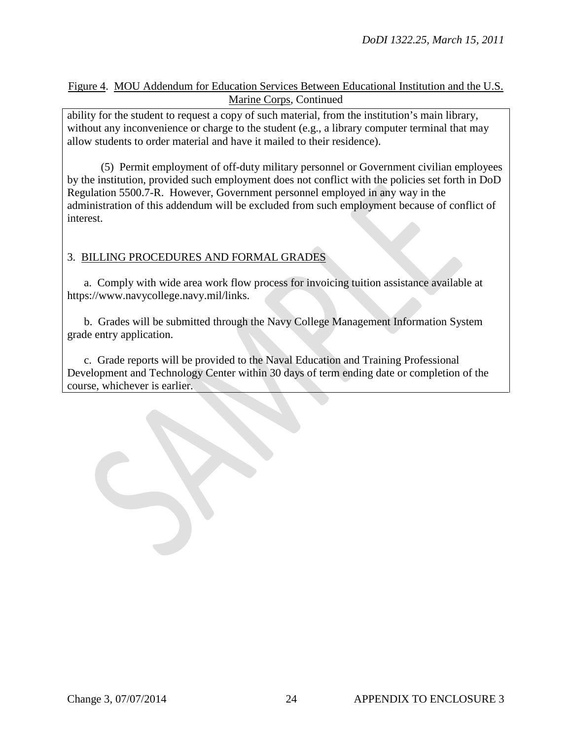### Figure 4. MOU Addendum for Education Services Between Educational Institution and the U.S. Marine Corps, Continued

ability for the student to request a copy of such material, from the institution's main library, without any inconvenience or charge to the student (e.g., a library computer terminal that may allow students to order material and have it mailed to their residence).

(5) Permit employment of off-duty military personnel or Government civilian employees by the institution, provided such employment does not conflict with the policies set forth in DoD Regulation 5500.7-R. However, Government personnel employed in any way in the administration of this addendum will be excluded from such employment because of conflict of interest.

## 3. BILLING PROCEDURES AND FORMAL GRADES

a. Comply with wide area work flow process for invoicing tuition assistance available at https://www.navycollege.navy.mil/links.

b. Grades will be submitted through the Navy College Management Information System grade entry application.

 c. Grade reports will be provided to the Naval Education and Training Professional Development and Technology Center within 30 days of term ending date or completion of the course, whichever is earlier.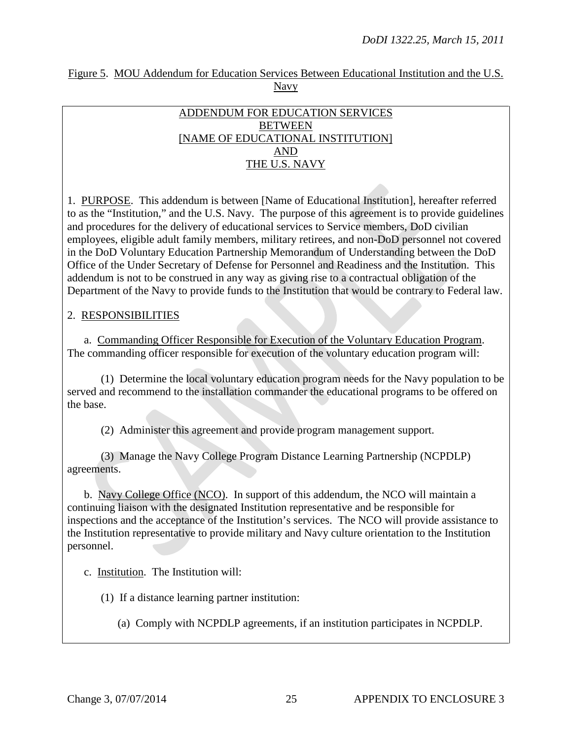#### Figure 5. MOU Addendum for Education Services Between Educational Institution and the U.S. Navy

#### ADDENDUM FOR EDUCATION SERVICES BETWEEN [NAME OF EDUCATIONAL INSTITUTION] AND THE U.S. NAVY

1. PURPOSE. This addendum is between [Name of Educational Institution], hereafter referred to as the "Institution," and the U.S. Navy. The purpose of this agreement is to provide guidelines and procedures for the delivery of educational services to Service members, DoD civilian employees, eligible adult family members, military retirees, and non-DoD personnel not covered in the DoD Voluntary Education Partnership Memorandum of Understanding between the DoD Office of the Under Secretary of Defense for Personnel and Readiness and the Institution. This addendum is not to be construed in any way as giving rise to a contractual obligation of the Department of the Navy to provide funds to the Institution that would be contrary to Federal law.

### 2. RESPONSIBILITIES

a. Commanding Officer Responsible for Execution of the Voluntary Education Program. The commanding officer responsible for execution of the voluntary education program will:

(1) Determine the local voluntary education program needs for the Navy population to be served and recommend to the installation commander the educational programs to be offered on the base.

(2) Administer this agreement and provide program management support.

(3) Manage the Navy College Program Distance Learning Partnership (NCPDLP) agreements.

b. Navy College Office (NCO). In support of this addendum, the NCO will maintain a continuing liaison with the designated Institution representative and be responsible for inspections and the acceptance of the Institution's services. The NCO will provide assistance to the Institution representative to provide military and Navy culture orientation to the Institution personnel.

c. Institution. The Institution will:

(1) If a distance learning partner institution:

(a) Comply with NCPDLP agreements, if an institution participates in NCPDLP.